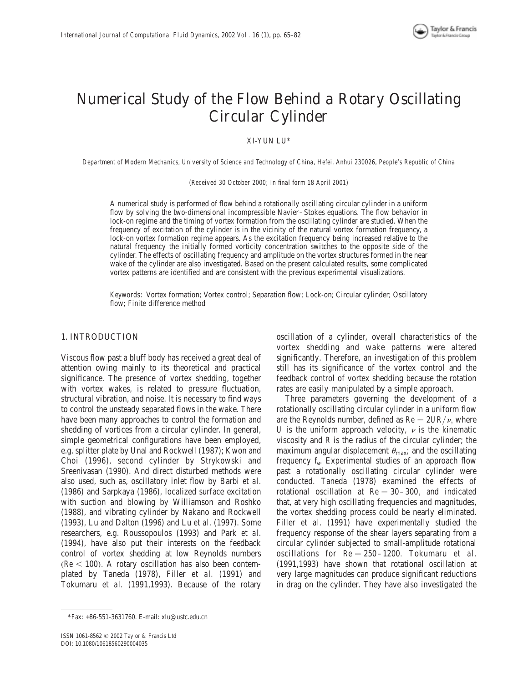

# Numerical Study of the Flow Behind a Rotary Oscillating Circular Cylinder

# XI-YUN LU\*

Department of Modern Mechanics, University of Science and Technology of China, Hefei, Anhui 230026, People's Republic of China

(Received 30 October 2000; In final form 18 April 2001)

A numerical study is performed of flow behind a rotationally oscillating circular cylinder in a uniform flow by solving the two-dimensional incompressible Navier–Stokes equations. The flow behavior in lock-on regime and the timing of vortex formation from the oscillating cylinder are studied. When the frequency of excitation of the cylinder is in the vicinity of the natural vortex formation frequency, a lock-on vortex formation regime appears. As the excitation frequency being increased relative to the natural frequency the initially formed vorticity concentration switches to the opposite side of the cylinder. The effects of oscillating frequency and amplitude on the vortex structures formed in the near wake of the cylinder are also investigated. Based on the present calculated results, some complicated vortex patterns are identified and are consistent with the previous experimental visualizations.

Keywords: Vortex formation; Vortex control; Separation flow; Lock-on; Circular cylinder; Oscillatory flow; Finite difference method

# 1. INTRODUCTION

Viscous flow past a bluff body has received a great deal of attention owing mainly to its theoretical and practical significance. The presence of vortex shedding, together with vortex wakes, is related to pressure fluctuation, structural vibration, and noise. It is necessary to find ways to control the unsteady separated flows in the wake. There have been many approaches to control the formation and shedding of vortices from a circular cylinder. In general, simple geometrical configurations have been employed, e.g. splitter plate by Unal and Rockwell (1987); Kwon and Choi (1996), second cylinder by Strykowski and Sreenivasan (1990). And direct disturbed methods were also used, such as, oscillatory inlet flow by Barbi et al. (1986) and Sarpkaya (1986), localized surface excitation with suction and blowing by Williamson and Roshko (1988), and vibrating cylinder by Nakano and Rockwell (1993), Lu and Dalton (1996) and Lu et al. (1997). Some researchers, e.g. Roussopoulos (1993) and Park et al. (1994), have also put their interests on the feedback control of vortex shedding at low Reynolds numbers  $Re < 100$ ). A rotary oscillation has also been contemplated by Taneda (1978), Filler et al. (1991) and Tokumaru et al. (1991,1993). Because of the rotary

Three parameters governing the development of a rotationally oscillating circular cylinder in a uniform flow are the Reynolds number, defined as  $Re = 2UR/v$ , where U is the uniform approach velocity,  $\nu$  is the kinematic viscosity and R is the radius of the circular cylinder; the maximum angular displacement  $\theta_{\text{max}}$ ; and the oscillating frequency  $f_e$ . Experimental studies of an approach flow past a rotationally oscillating circular cylinder were conducted. Taneda (1978) examined the effects of rotational oscillation at  $Re = 30-300$ , and indicated that, at very high oscillating frequencies and magnitudes, the vortex shedding process could be nearly eliminated. Filler et al. (1991) have experimentally studied the frequency response of the shear layers separating from a circular cylinder subjected to small-amplitude rotational oscillations for  $Re = 250-1200$ . Tokumaru et al. (1991,1993) have shown that rotational oscillation at very large magnitudes can produce significant reductions in drag on the cylinder. They have also investigated the

oscillation of a cylinder, overall characteristics of the vortex shedding and wake patterns were altered significantly. Therefore, an investigation of this problem still has its significance of the vortex control and the feedback control of vortex shedding because the rotation rates are easily manipulated by a simple approach.

<sup>\*</sup>Fax: +86-551-3631760. E-mail: xlu@ustc.edu.cn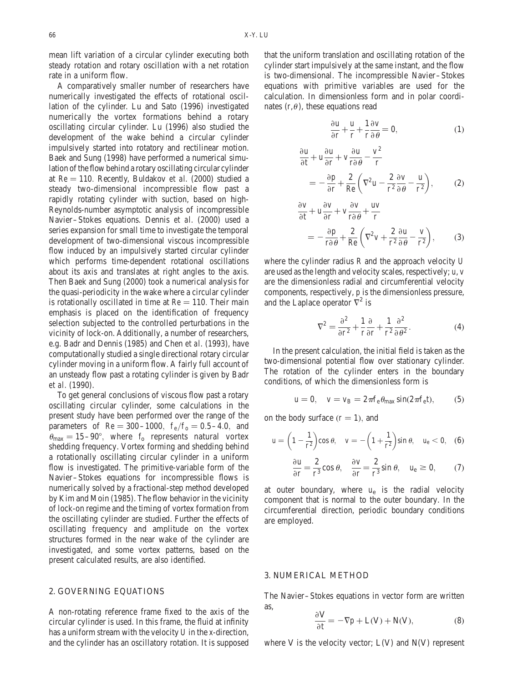mean lift variation of a circular cylinder executing both steady rotation and rotary oscillation with a net rotation rate in a uniform flow.

A comparatively smaller number of researchers have numerically investigated the effects of rotational oscillation of the cylinder. Lu and Sato (1996) investigated numerically the vortex formations behind a rotary oscillating circular cylinder. Lu (1996) also studied the development of the wake behind a circular cylinder impulsively started into rotatory and rectilinear motion. Baek and Sung (1998) have performed a numerical simulation of the flow behind a rotary oscillating circular cylinder at  $Re = 110$ . Recently, Buldakov et al. (2000) studied a steady two-dimensional incompressible flow past a rapidly rotating cylinder with suction, based on high-Reynolds-number asymptotic analysis of incompressible Navier–Stokes equations. Dennis et al. (2000) used a series expansion for small time to investigate the temporal development of two-dimensional viscous incompressible flow induced by an impulsively started circular cylinder which performs time-dependent rotational oscillations about its axis and translates at right angles to the axis. Then Baek and Sung (2000) took a numerical analysis for the quasi-periodicity in the wake where a circular cylinder is rotationally oscillated in time at  $Re = 110$ . Their main emphasis is placed on the identification of frequency selection subjected to the controlled perturbations in the vicinity of lock-on. Additionally, a number of researchers, e.g. Badr and Dennis (1985) and Chen et al. (1993), have computationally studied a single directional rotary circular cylinder moving in a uniform flow. A fairly full account of an unsteady flow past a rotating cylinder is given by Badr et al. (1990).

To get general conclusions of viscous flow past a rotary oscillating circular cylinder, some calculations in the present study have been performed over the range of the parameters of  $Re = 300-1000$ ,  $f_e/f_o = 0.5-4.0$ , and  $\theta_{\text{max}} = 15-90^{\circ}$ , where f<sub>o</sub> represents natural vortex shedding frequency. Vortex forming and shedding behind a rotationally oscillating circular cylinder in a uniform flow is investigated. The primitive-variable form of the Navier–Stokes equations for incompressible flows is numerically solved by a fractional-step method developed by Kim and Moin (1985). The flow behavior in the vicinity of lock-on regime and the timing of vortex formation from the oscillating cylinder are studied. Further the effects of oscillating frequency and amplitude on the vortex structures formed in the near wake of the cylinder are investigated, and some vortex patterns, based on the present calculated results, are also identified.

## 2. GOVERNING EQUATIONS

A non-rotating reference frame fixed to the axis of the circular cylinder is used. In this frame, the fluid at infinity has a uniform stream with the velocity U in the x-direction, and the cylinder has an oscillatory rotation. It is supposed that the uniform translation and oscillating rotation of the cylinder start impulsively at the same instant, and the flow is two-dimensional. The incompressible Navier–Stokes equations with primitive variables are used for the calculation. In dimensionless form and in polar coordinates  $(r, \theta)$ , these equations read

$$
\frac{\partial u}{\partial r} + \frac{u}{r} + \frac{1}{r} \frac{\partial v}{\partial \theta} = 0, \tag{1}
$$

$$
\frac{\partial \mathbf{u}}{\partial t} + \mathbf{u} \frac{\partial \mathbf{u}}{\partial \mathbf{r}} + \mathbf{v} \frac{\partial \mathbf{u}}{\partial \theta} - \frac{\mathbf{v}^2}{\mathbf{r}}
$$
\n
$$
= -\frac{\partial \mathbf{p}}{\partial \mathbf{r}} + \frac{2}{\text{Re}} \left( \nabla^2 \mathbf{u} - \frac{2}{\mathbf{r}^2} \frac{\partial \mathbf{v}}{\partial \theta} - \frac{\mathbf{u}}{\mathbf{r}^2} \right), \tag{2}
$$

$$
\frac{\partial \mathbf{v}}{\partial t} + \mathbf{u} \frac{\partial \mathbf{v}}{\partial r} + \mathbf{v} \frac{\partial \mathbf{v}}{\partial \theta} + \frac{\mathbf{uv}}{r} \n= -\frac{\partial \mathbf{p}}{\partial \theta} + \frac{2}{Re} \left( \nabla^2 \mathbf{v} + \frac{2}{r^2} \frac{\partial \mathbf{u}}{\partial \theta} - \frac{\mathbf{v}}{r^2} \right),
$$
\n(3)

where the cylinder radius R and the approach velocity U are used as the length and velocity scales, respectively; u, v are the dimensionless radial and circumferential velocity components, respectively, p is the dimensionless pressure, and the Laplace operator  $\nabla^2$  is

$$
\nabla^2 = \frac{\partial^2}{\partial r^2} + \frac{1}{r} \frac{\partial}{\partial r} + \frac{1}{r^2} \frac{\partial^2}{\partial \theta^2}.
$$
 (4)

In the present calculation, the initial field is taken as the two-dimensional potential flow over stationary cylinder. The rotation of the cylinder enters in the boundary conditions, of which the dimensionless form is

$$
u=0, \quad v=v_B=2\pi f_e\theta_{max}\sin(2\pi f_e t), \qquad (5)
$$

on the body surface  $(r = 1)$ , and

$$
u = \left(1 - \frac{1}{r^2}\right)\cos\theta, \quad v = -\left(1 + \frac{1}{r^2}\right)\sin\theta, \quad u_e < 0, \quad (6)
$$

$$
\frac{\partial u}{\partial r} = \frac{2}{r^3} \cos \theta, \quad \frac{\partial v}{\partial r} = \frac{2}{r^3} \sin \theta, \quad u_e \ge 0, \tag{7}
$$

at outer boundary, where  $u_e$  is the radial velocity component that is normal to the outer boundary. In the circumferential direction, periodic boundary conditions are employed.

#### 3. NUMERICAL METHOD

The Navier–Stokes equations in vector form are written as,

$$
\frac{\partial V}{\partial t} = -\nabla p + L(V) + N(V),\tag{8}
$$

where V is the velocity vector;  $L(V)$  and  $N(V)$  represent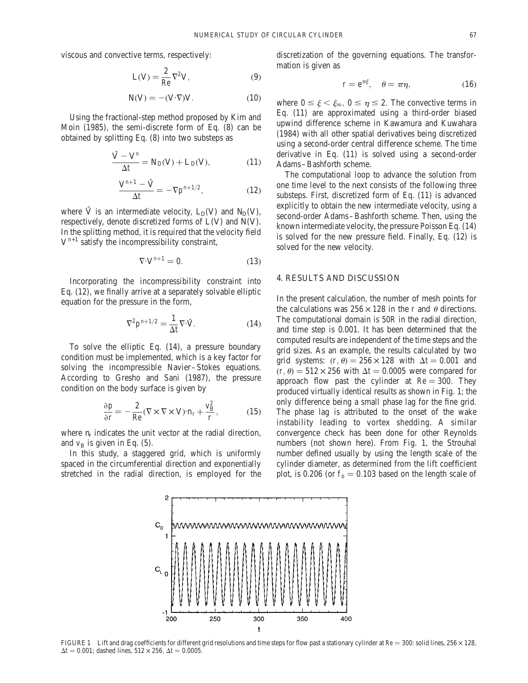viscous and convective terms, respectively:

$$
L(V) = \frac{2}{Re} \nabla^2 V,\tag{9}
$$

$$
N(V) = -(V \cdot \nabla)V. \tag{10}
$$

Using the fractional-step method proposed by Kim and Moin (1985), the semi-discrete form of Eq. (8) can be obtained by splitting Eq. (8) into two substeps as

$$
\frac{\hat{V} - V^n}{\Delta t} = N_D(V) + L_D(V),\tag{11}
$$

$$
\frac{\mathbf{V}^{n+1} - \hat{\mathbf{V}}}{\Delta t} = -\nabla p^{n+1/2},\tag{12}
$$

where  $\hat{V}$  is an intermediate velocity,  $L_D(V)$  and  $N_D(V)$ , respectively, denote discretized forms of L(V) and N(V). In the splitting method, it is required that the velocity field  $V^{n+1}$  satisfy the incompressibility constraint,

$$
\nabla \cdot \mathbf{V}^{n+1} = 0. \tag{13}
$$

Incorporating the incompressibility constraint into Eq. (12), we finally arrive at a separately solvable elliptic equation for the pressure in the form,

$$
\nabla^2 \mathbf{p}^{n+1/2} = \frac{1}{\Delta t} \nabla \cdot \hat{\mathbf{V}}.
$$
 (14)

To solve the elliptic Eq. (14), a pressure boundary condition must be implemented, which is a key factor for solving the incompressible Navier–Stokes equations. According to Gresho and Sani (1987), the pressure condition on the body surface is given by

$$
\frac{\partial \mathbf{p}}{\partial \mathbf{r}} = -\frac{2}{\text{Re}} (\nabla \times \nabla \times \mathbf{V}) \cdot \mathbf{n}_{\mathbf{r}} + \frac{\mathbf{v}_{\text{B}}^2}{\mathbf{r}},\tag{15}
$$

where  $n_r$  indicates the unit vector at the radial direction, and  $v_B$  is given in Eq. (5).

In this study, a staggered grid, which is uniformly spaced in the circumferential direction and exponentially stretched in the radial direction, is employed for the discretization of the governing equations. The transformation is given as

$$
\mathbf{r} = \mathbf{e}^{\pi\xi}, \quad \theta = \pi\eta, \tag{16}
$$

where  $0 \le \xi \le \xi_{\infty}$ ,  $0 \le \eta \le 2$ . The convective terms in Eq. (11) are approximated using a third-order biased upwind difference scheme in Kawamura and Kuwahara (1984) with all other spatial derivatives being discretized using a second-order central difference scheme. The time derivative in Eq. (11) is solved using a second-order Adams–Bashforth scheme.

The computational loop to advance the solution from one time level to the next consists of the following three substeps. First, discretized form of Eq. (11) is advanced explicitly to obtain the new intermediate velocity, using a second-order Adams–Bashforth scheme. Then, using the known intermediate velocity, the pressure Poisson Eq. (14) is solved for the new pressure field. Finally, Eq. (12) is solved for the new velocity.

#### 4. RESULTS AND DISCUSSION

In the present calculation, the number of mesh points for the calculations was  $256 \times 128$  in the r and  $\theta$  directions. The computational domain is 50R in the radial direction, and time step is 0.001. It has been determined that the computed results are independent of the time steps and the grid sizes. As an example, the results calculated by two grid systems:  $(r, \theta) = 256 \times 128$  with  $\Delta t = 0.001$  and  $(r, \theta) = 512 \times 256$  with  $\Delta t = 0.0005$  were compared for approach flow past the cylinder at  $Re = 300$ . They produced virtually identical results as shown in Fig. 1; the only difference being a small phase lag for the fine grid. The phase lag is attributed to the onset of the wake instability leading to vortex shedding. A similar convergence check has been done for other Reynolds numbers (not shown here). From Fig. 1, the Strouhal number defined usually by using the length scale of the cylinder diameter, as determined from the lift coefficient plot, is 0.206 (or  $f_0 = 0.103$  based on the length scale of



FIGURE 1 Lift and drag coefficients for different grid resolutions and time steps for flow past a stationary cylinder at  $Re = 300$ : solid lines,  $256 \times 128$ ,  $\Delta t = 0.001$ ; dashed lines,  $512 \times 256$ ,  $\Delta t = 0.0005$ .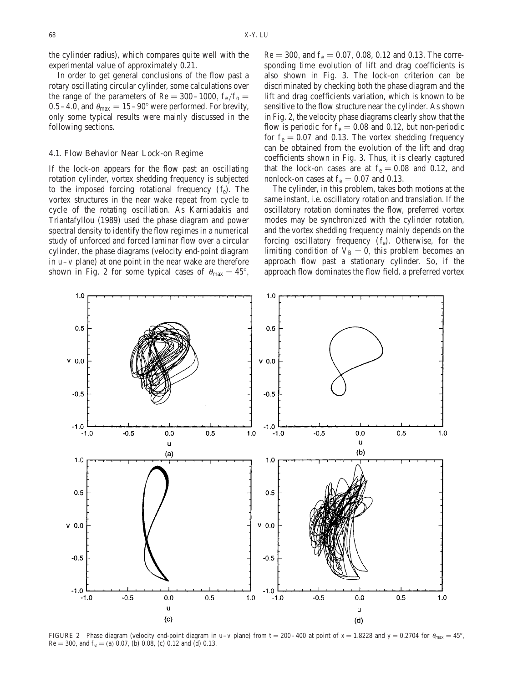the cylinder radius), which compares quite well with the experimental value of approximately 0.21.

In order to get general conclusions of the flow past a rotary oscillating circular cylinder, some calculations over the range of the parameters of Re = 300–1000,  $f_e/f_o =$ 0.5–4.0, and  $\theta_{\text{max}} = 15 - 90^{\circ}$  were performed. For brevity, only some typical results were mainly discussed in the following sections.

#### 4.1. Flow Behavior Near Lock-on Regime

If the lock-on appears for the flow past an oscillating rotation cylinder, vortex shedding frequency is subjected to the imposed forcing rotational frequency  $(f_e)$ . The vortex structures in the near wake repeat from cycle to cycle of the rotating oscillation. As Karniadakis and Triantafyllou (1989) used the phase diagram and power spectral density to identify the flow regimes in a numerical study of unforced and forced laminar flow over a circular cylinder, the phase diagrams (velocity end-point diagram in u–v plane) at one point in the near wake are therefore shown in Fig. 2 for some typical cases of  $\theta_{\text{max}} = 45^{\circ}$ ,  $Re = 300$ , and  $f_e = 0.07$ , 0.08, 0.12 and 0.13. The corresponding time evolution of lift and drag coefficients is also shown in Fig. 3. The lock-on criterion can be discriminated by checking both the phase diagram and the lift and drag coefficients variation, which is known to be sensitive to the flow structure near the cylinder. As shown in Fig. 2, the velocity phase diagrams clearly show that the flow is periodic for  $f_e = 0.08$  and 0.12, but non-periodic for  $f_e = 0.07$  and 0.13. The vortex shedding frequency can be obtained from the evolution of the lift and drag coefficients shown in Fig. 3. Thus, it is clearly captured that the lock-on cases are at  $f_e = 0.08$  and 0.12, and nonlock-on cases at  $f_e = 0.07$  and 0.13.

The cylinder, in this problem, takes both motions at the same instant, i.e. oscillatory rotation and translation. If the oscillatory rotation dominates the flow, preferred vortex modes may be synchronized with the cylinder rotation, and the vortex shedding frequency mainly depends on the forcing oscillatory frequency  $(f_e)$ . Otherwise, for the limiting condition of  $V_B = 0$ , this problem becomes an approach flow past a stationary cylinder. So, if the approach flow dominates the flow field, a preferred vortex



FIGURE 2 Phase diagram (velocity end-point diagram in u–v plane) from t = 200–400 at point of x = 1.8228 and y = 0.2704 for  $\theta_{\text{max}} = 45^{\circ}$ ;  $Re = 300$ , and  $f_e = (a) 0.07$ , (b) 0.08, (c) 0.12 and (d) 0.13.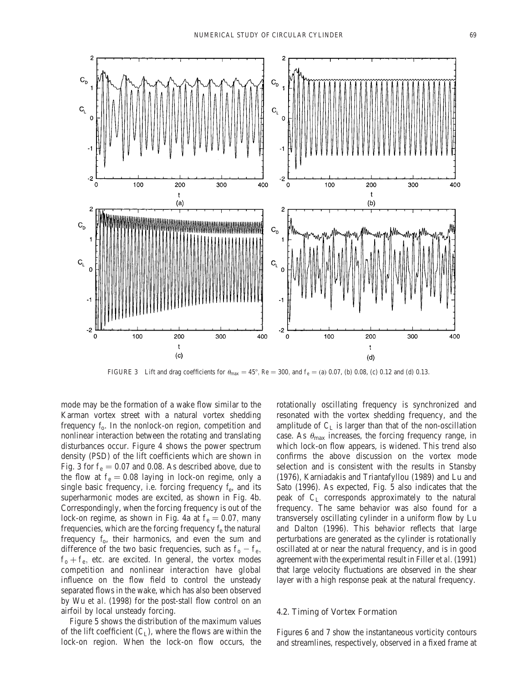

FIGURE 3 Lift and drag coefficients for  $\theta_{\text{max}} = 45^{\circ}$ , Re = 300, and f<sub>e</sub> = (a) 0.07, (b) 0.08, (c) 0.12 and (d) 0.13.

mode may be the formation of a wake flow similar to the Karman vortex street with a natural vortex shedding frequency f<sub>o</sub>. In the nonlock-on region, competition and nonlinear interaction between the rotating and translating disturbances occur. Figure 4 shows the power spectrum density (PSD) of the lift coefficients which are shown in Fig. 3 for  $f_e = 0.07$  and 0.08. As described above, due to the flow at  $f_e = 0.08$  laying in lock-on regime, only a single basic frequency, i.e. forcing frequency  $f_e$ , and its superharmonic modes are excited, as shown in Fig. 4b. Correspondingly, when the forcing frequency is out of the lock-on regime, as shown in Fig. 4a at  $f_e = 0.07$ , many frequencies, which are the forcing frequency  $f_e$  the natural frequency  $f_0$ , their harmonics, and even the sum and difference of the two basic frequencies, such as  $f_o - f_e$ ,  $f_0 + f_e$ , etc. are excited. In general, the vortex modes competition and nonlinear interaction have global influence on the flow field to control the unsteady separated flows in the wake, which has also been observed by Wu et al. (1998) for the post-stall flow control on an airfoil by local unsteady forcing.

Figure 5 shows the distribution of the maximum values of the lift coefficient  $(C<sub>L</sub>)$ , where the flows are within the lock-on region. When the lock-on flow occurs, the rotationally oscillating frequency is synchronized and resonated with the vortex shedding frequency, and the amplitude of  $C_L$  is larger than that of the non-oscillation case. As  $\theta_{\text{max}}$  increases, the forcing frequency range, in which lock-on flow appears, is widened. This trend also confirms the above discussion on the vortex mode selection and is consistent with the results in Stansby (1976), Karniadakis and Triantafyllou (1989) and Lu and Sato (1996). As expected, Fig. 5 also indicates that the peak of  $C_{L}$  corresponds approximately to the natural frequency. The same behavior was also found for a transversely oscillating cylinder in a uniform flow by Lu and Dalton (1996). This behavior reflects that large perturbations are generated as the cylinder is rotationally oscillated at or near the natural frequency, and is in good agreement with the experimental result in Filler et al. (1991) that large velocity fluctuations are observed in the shear layer with a high response peak at the natural frequency.

## 4.2. Timing of Vortex Formation

Figures 6 and 7 show the instantaneous vorticity contours and streamlines, respectively, observed in a fixed frame at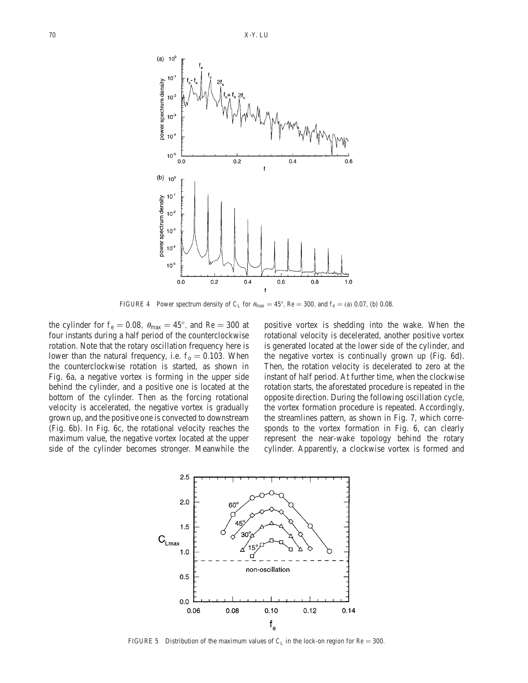

FIGURE 4 Power spectrum density of C<sub>L</sub> for  $\theta_{\text{max}} = 45^{\circ}$ , Re = 300, and f<sub>e</sub> = (a) 0.07, (b) 0.08.

the cylinder for  $f_e = 0.08$ ,  $\theta_{max} = 45^{\circ}$ , and Re = 300 at four instants during a half period of the counterclockwise rotation. Note that the rotary oscillation frequency here is lower than the natural frequency, i.e.  $f_0 = 0.103$ . When the counterclockwise rotation is started, as shown in Fig. 6a, a negative vortex is forming in the upper side behind the cylinder, and a positive one is located at the bottom of the cylinder. Then as the forcing rotational velocity is accelerated, the negative vortex is gradually grown up, and the positive one is convected to downstream (Fig. 6b). In Fig. 6c, the rotational velocity reaches the maximum value, the negative vortex located at the upper side of the cylinder becomes stronger. Meanwhile the positive vortex is shedding into the wake. When the rotational velocity is decelerated, another positive vortex is generated located at the lower side of the cylinder, and the negative vortex is continually grown up (Fig. 6d). Then, the rotation velocity is decelerated to zero at the instant of half period. At further time, when the clockwise rotation starts, the aforestated procedure is repeated in the opposite direction. During the following oscillation cycle, the vortex formation procedure is repeated. Accordingly, the streamlines pattern, as shown in Fig. 7, which corresponds to the vortex formation in Fig. 6, can clearly represent the near-wake topology behind the rotary cylinder. Apparently, a clockwise vortex is formed and



FIGURE 5 Distribution of the maximum values of  $C_L$  in the lock-on region for Re = 300.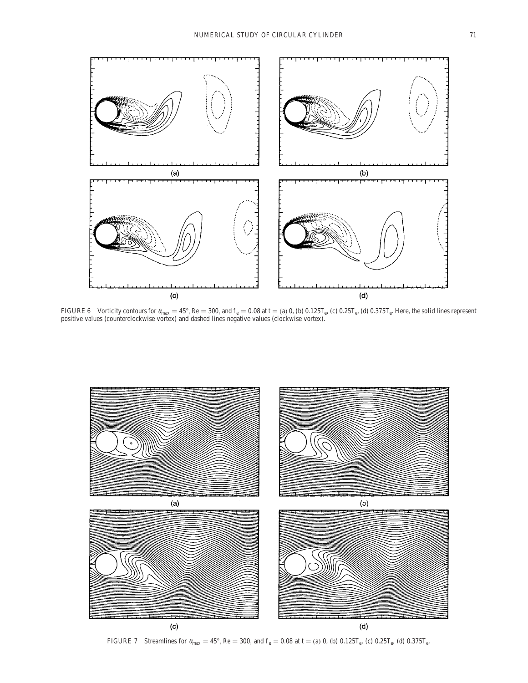

FIGURE 6 Vorticity contours for  $\theta_{\rm max} = 45^{\circ}$ , Re = 300, and f  $_{\rm e} = 0.08$  at t = (a) 0, (b)  $0.125$ T $_{\rm e}$ , (c)  $0.25$ T $_{\rm e}$ , (d)  $0.375$ T $_{\rm e}$ . Here, the solid lines represent positive values (counterclockwise vortex) and dashed lines negative values (clockwise vortex).



FIGURE 7 Streamlines for  $\theta_{\text{max}} = 45^{\circ}$ , Re = 300, and  $f_e = 0.08$  at t = (a) 0, (b) 0.125T<sub>e</sub>, (c) 0.25T<sub>e</sub>, (d) 0.375T<sub>e</sub>.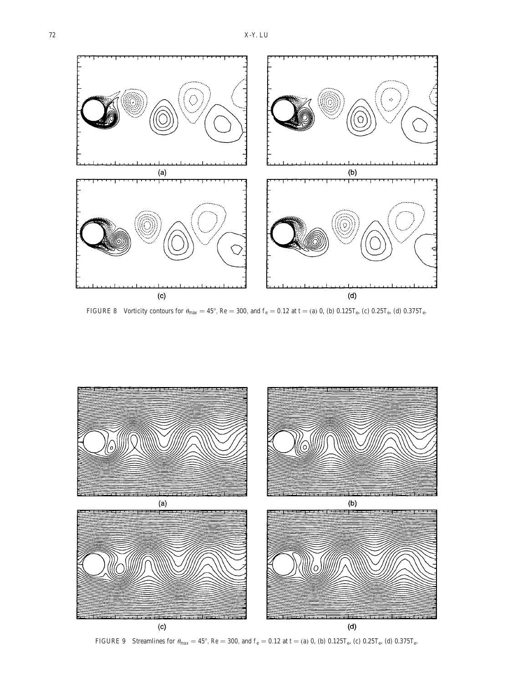

FIGURE 8 Vorticity contours for  $\theta_{max} = 45^\circ$ , Re = 300, and  $f_e = 0.12$  at t = (a) 0, (b) 0.125T<sub>e</sub>, (c) 0.25T<sub>e</sub>, (d) 0.375T<sub>e</sub>.



FIGURE 9 Streamlines for  $\theta_{\text{max}} = 45^{\circ}$ , Re = 300, and  $f_e = 0.12$  at t = (a) 0, (b) 0.125T<sub>e</sub>, (c) 0.25T<sub>e</sub>, (d) 0.375T<sub>e</sub>.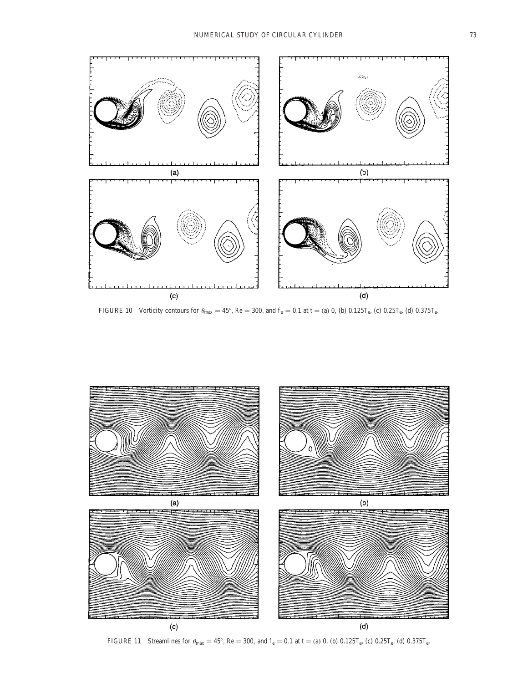

FIGURE 10 Vorticity contours for  $\theta_{max} = 45^\circ$ , Re = 300, and  $f_e = 0.1$  at t = (a) 0, (b)  $0.125T_e$ , (c)  $0.25T_e$ , (d)  $0.375T_e$ .



FIGURE 11 Streamlines for  $\theta_{\text{max}} = 45^{\circ}$ , Re = 300, and  $f_e = 0.1$  at t = (a) 0, (b) 0.125T<sub>e</sub>, (c) 0.25T<sub>e</sub>, (d) 0.375T<sub>e</sub>.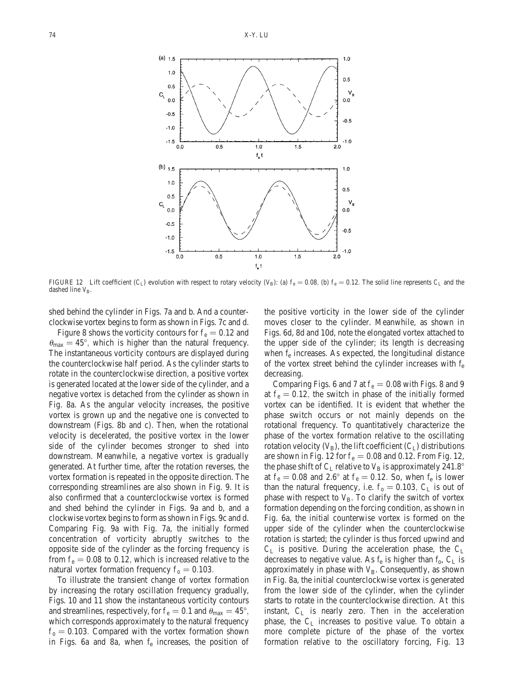

FIGURE 12 Lift coefficient (C<sub>L</sub>) evolution with respect to rotary velocity (V<sub>B</sub>): (a)  $f_e = 0.08$ , (b)  $f_e = 0.12$ . The solid line represents C<sub>L</sub> and the dashed line VB.

shed behind the cylinder in Figs. 7a and b. And a counterclockwise vortex begins to form as shown in Figs. 7c and d.

Figure 8 shows the vorticity contours for  $f_e = 0.12$  and  $\theta_{\text{max}} = 45^{\circ}$ , which is higher than the natural frequency. The instantaneous vorticity contours are displayed during the counterclockwise half period. As the cylinder starts to rotate in the counterclockwise direction, a positive vortex is generated located at the lower side of the cylinder, and a negative vortex is detached from the cylinder as shown in Fig. 8a. As the angular velocity increases, the positive vortex is grown up and the negative one is convected to downstream (Figs. 8b and c). Then, when the rotational velocity is decelerated, the positive vortex in the lower side of the cylinder becomes stronger to shed into downstream. Meanwhile, a negative vortex is gradually generated. At further time, after the rotation reverses, the vortex formation is repeated in the opposite direction. The corresponding streamlines are also shown in Fig. 9. It is also confirmed that a counterclockwise vortex is formed and shed behind the cylinder in Figs. 9a and b, and a clockwise vortex begins to form as shown in Figs. 9c and d. Comparing Fig. 9a with Fig. 7a, the initially formed concentration of vorticity abruptly switches to the opposite side of the cylinder as the forcing frequency is from  $f_e = 0.08$  to 0.12, which is increased relative to the natural vortex formation frequency  $f_0 = 0.103$ .

To illustrate the transient change of vortex formation by increasing the rotary oscillation frequency gradually, Figs. 10 and 11 show the instantaneous vorticity contours and streamlines, respectively, for  $f_e = 0.1$  and  $\theta_{\text{max}} = 45^{\circ}$ , which corresponds approximately to the natural frequency  $f<sub>o</sub> = 0.103$ . Compared with the vortex formation shown in Figs. 6a and 8a, when  $f_e$  increases, the position of the positive vorticity in the lower side of the cylinder moves closer to the cylinder. Meanwhile, as shown in Figs. 6d, 8d and 10d, note the elongated vortex attached to the upper side of the cylinder; its length is decreasing when  $f_e$  increases. As expected, the longitudinal distance of the vortex street behind the cylinder increases with  $f_e$ decreasing.

Comparing Figs. 6 and 7 at  $f_e = 0.08$  with Figs. 8 and 9 at  $f_e = 0.12$ , the switch in phase of the initially formed vortex can be identified. It is evident that whether the phase switch occurs or not mainly depends on the rotational frequency. To quantitatively characterize the phase of the vortex formation relative to the oscillating rotation velocity  $(V_B)$ , the lift coefficient  $(C_I)$  distributions are shown in Fig. 12 for  $f_e = 0.08$  and 0.12. From Fig. 12, the phase shift of  $C_L$  relative to  $V_B$  is approximately 241.8° at  $f_e = 0.08$  and 2.6° at  $f_e = 0.12$ . So, when  $f_e$  is lower than the natural frequency, i.e.  $f_0 = 0.103$ ,  $C_L$  is out of phase with respect to  $V_B$ . To clarify the switch of vortex formation depending on the forcing condition, as shown in Fig. 6a, the initial counterwise vortex is formed on the upper side of the cylinder when the counterclockwise rotation is started; the cylinder is thus forced upwind and  $C_L$  is positive. During the acceleration phase, the  $C_L$ decreases to negative value. As  $f_e$  is higher than  $f_o$ ,  $C_L$  is approximately in phase with  $V_B$ . Consequently, as shown in Fig. 8a, the initial counterclockwise vortex is generated from the lower side of the cylinder, when the cylinder starts to rotate in the counterclockwise direction. At this instant, C<sup>L</sup> is nearly zero. Then in the acceleration phase, the  $C_L$  increases to positive value. To obtain a more complete picture of the phase of the vortex formation relative to the oscillatory forcing, Fig. 13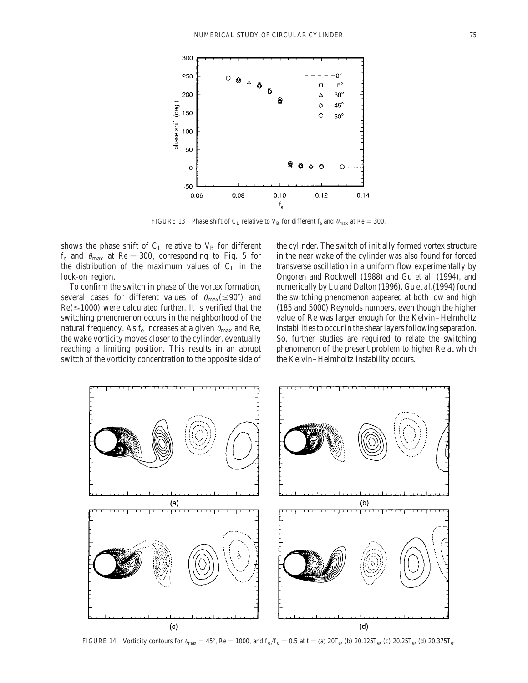

FIGURE 13 Phase shift of C<sub>L</sub> relative to V<sub>B</sub> for different f<sub>e</sub> and  $\theta_{\text{max}}$  at Re = 300.

shows the phase shift of  $C_L$  relative to  $V_B$  for different  $f_e$  and  $\theta_{\text{max}}$  at  $\text{Re} = 300$ , corresponding to Fig. 5 for the distribution of the maximum values of  $C_L$  in the lock-on region.

To confirm the switch in phase of the vortex formation, several cases for different values of  $\theta_{\text{max}}(\leq 90^{\circ})$  and  $Re(\leq 1000)$  were calculated further. It is verified that the switching phenomenon occurs in the neighborhood of the natural frequency. As  $f_e$  increases at a given  $\theta_{\text{max}}$  and Re, the wake vorticity moves closer to the cylinder, eventually reaching a limiting position. This results in an abrupt switch of the vorticity concentration to the opposite side of the cylinder. The switch of initially formed vortex structure in the near wake of the cylinder was also found for forced transverse oscillation in a uniform flow experimentally by Ongoren and Rockwell (1988) and Gu et al. (1994), and numerically by Lu and Dalton (1996). Gu et al.(1994) found the switching phenomenon appeared at both low and high (185 and 5000) Reynolds numbers, even though the higher value of Re was larger enough for the Kelvin–Helmholtz instabilities to occur in the shear layers following separation. So, further studies are required to relate the switching phenomenon of the present problem to higher Re at which the Kelvin–Helmholtz instability occurs.



FIGURE 14 Vorticity contours for  $\theta_{\text{max}} = 45^{\circ}$ , Re = 1000, and  $f_e/f_o = 0.5$  at t = (a) 20T<sub>e</sub>, (b) 20.125T<sub>e</sub>, (c) 20.25T<sub>e</sub>, (d) 20.375T<sub>e</sub>.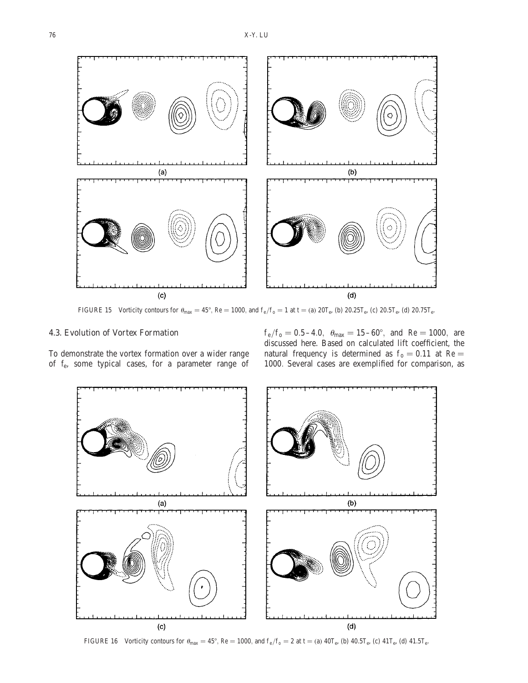

FIGURE 15 Vorticity contours for  $\theta_{\text{max}} = 45^{\circ}$ , Re = 1000, and  $f_e/f_o = 1$  at t = (a) 20T<sub>e</sub>, (b) 20.25T<sub>e</sub>, (c) 20.5T<sub>e</sub>, (d) 20.75T<sub>e</sub>.

# 4.3. Evolution of Vortex Formation

To demonstrate the vortex formation over a wider range of fe, some typical cases, for a parameter range of

 $f_e/f_o = 0.5-4.0, \theta_{max} = 15-60^{\circ}, \text{ and } Re = 1000, \text{ are}$ discussed here. Based on calculated lift coefficient, the natural frequency is determined as  $f_0 = 0.11$  at Re = 1000: Several cases are exemplified for comparison, as

![](_page_11_Figure_6.jpeg)

FIGURE 16 Vorticity contours for  $\theta_{\text{max}} = 45^{\circ}$ , Re = 1000, and  $f_e/f_o = 2$  at t = (a)  $40T_e$ , (b)  $40.5T_e$ , (c)  $41T_e$ , (d)  $41.5T_e$ .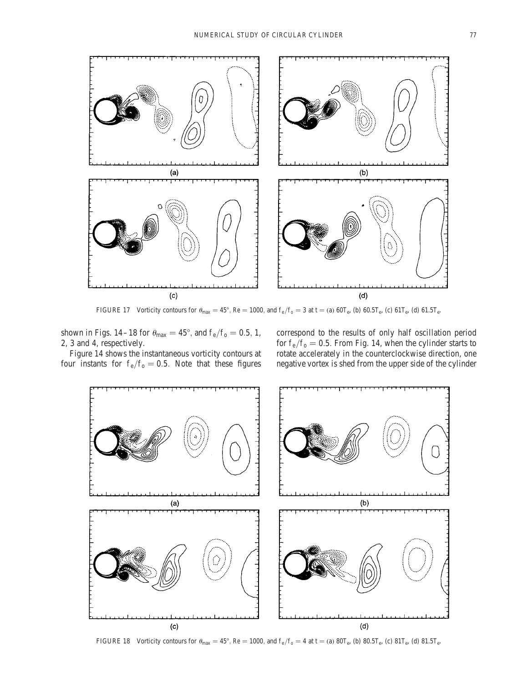![](_page_12_Figure_1.jpeg)

FIGURE 17 Vorticity contours for  $\theta_{\text{max}} = 45^{\circ}$ , Re = 1000, and  $f_e/f_o = 3$  at t = (a) 60T<sub>e</sub>, (b) 60.5T<sub>e</sub>, (c) 61T<sub>e</sub>, (d) 61.5T<sub>e</sub>.

shown in Figs. 14–18 for  $\theta_{max} = 45^{\circ}$ , and  $f_e/f_o = 0.5$ , 1, 2, 3 and 4, respectively.

Figure 14 shows the instantaneous vorticity contours at four instants for  $f_e/f_o = 0.5$ . Note that these figures

correspond to the results of only half oscillation period for  $f_e/f_o = 0.5$ . From Fig. 14, when the cylinder starts to rotate accelerately in the counterclockwise direction, one negative vortex is shed from the upper side of the cylinder

![](_page_12_Figure_6.jpeg)

FIGURE 18 Vorticity contours for  $\theta_{\text{max}} = 45^{\circ}$ , Re = 1000, and  $f_e/f_o = 4$  at t = (a) 80T<sub>e</sub>, (b) 80.5T<sub>e</sub>, (c) 81T<sub>e</sub>, (d) 81.5T<sub>e</sub>.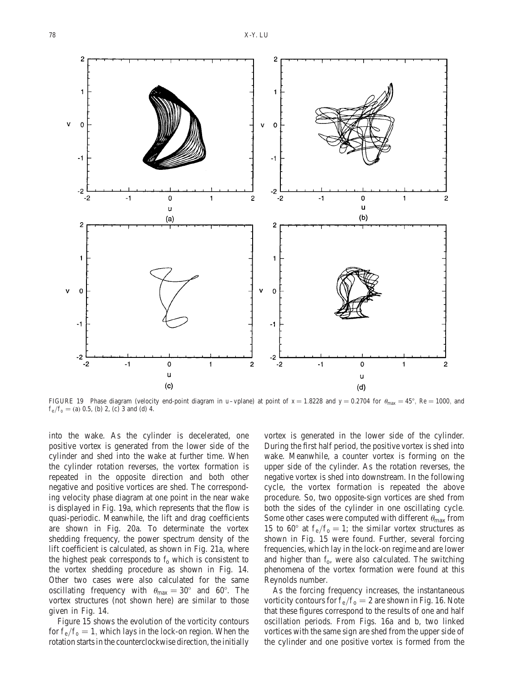![](_page_13_Figure_1.jpeg)

FIGURE 19 Phase diagram (velocity end-point diagram in u–vplane) at point of  $x = 1.8228$  and  $y = 0.2704$  for  $\theta_{\text{max}} = 45^{\circ}$ , Re = 1000, and  $f_e/f_o = (a) 0.5$ , (b) 2, (c) 3 and (d) 4.

into the wake. As the cylinder is decelerated, one positive vortex is generated from the lower side of the cylinder and shed into the wake at further time. When the cylinder rotation reverses, the vortex formation is repeated in the opposite direction and both other negative and positive vortices are shed. The corresponding velocity phase diagram at one point in the near wake is displayed in Fig. 19a, which represents that the flow is quasi-periodic. Meanwhile, the lift and drag coefficients are shown in Fig. 20a. To determinate the vortex shedding frequency, the power spectrum density of the lift coefficient is calculated, as shown in Fig. 21a, where the highest peak corresponds to  $f_0$  which is consistent to the vortex shedding procedure as shown in Fig. 14. Other two cases were also calculated for the same oscillating frequency with  $\theta_{\text{max}} = 30^{\circ}$  and 60°. The vortex structures (not shown here) are similar to those given in Fig. 14.

Figure 15 shows the evolution of the vorticity contours for  $f_e/f_o=1$ , which lays in the lock-on region. When the rotation starts in the counterclockwise direction, the initially

vortex is generated in the lower side of the cylinder. During the first half period, the positive vortex is shed into wake. Meanwhile, a counter vortex is forming on the upper side of the cylinder. As the rotation reverses, the negative vortex is shed into downstream. In the following cycle, the vortex formation is repeated the above procedure. So, two opposite-sign vortices are shed from both the sides of the cylinder in one oscillating cycle. Some other cases were computed with different  $\theta_{\text{max}}$  from 15 to 60 $^{\circ}$  at f<sub>e</sub>/f<sub>0</sub> = 1; the similar vortex structures as shown in Fig. 15 were found. Further, several forcing frequencies, which lay in the lock-on regime and are lower and higher than  $f_0$ , were also calculated. The switching phenomena of the vortex formation were found at this Reynolds number.

As the forcing frequency increases, the instantaneous vorticity contours for  $f_e/f_o=2$  are shown in Fig. 16. Note that these figures correspond to the results of one and half oscillation periods. From Figs. 16a and b, two linked vortices with the same sign are shed from the upper side of the cylinder and one positive vortex is formed from the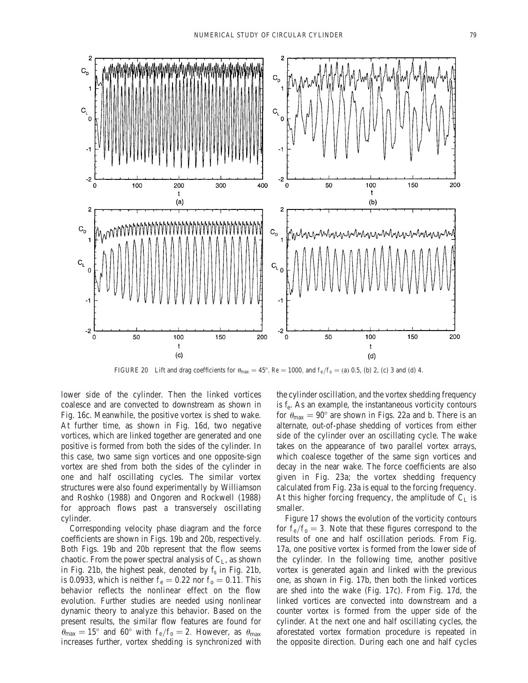![](_page_14_Figure_1.jpeg)

FIGURE 20 Lift and drag coefficients for  $\theta_{\text{max}} = 45^{\circ}$ , Re = 1000, and  $f_e/f_o = (a) 0.5$ , (b) 2, (c) 3 and (d) 4.

lower side of the cylinder. Then the linked vortices coalesce and are convected to downstream as shown in Fig. 16c. Meanwhile, the positive vortex is shed to wake. At further time, as shown in Fig. 16d, two negative vortices, which are linked together are generated and one positive is formed from both the sides of the cylinder. In this case, two same sign vortices and one opposite-sign vortex are shed from both the sides of the cylinder in one and half oscillating cycles. The similar vortex structures were also found experimentally by Williamson and Roshko (1988) and Ongoren and Rockwell (1988) for approach flows past a transversely oscillating cylinder.

Corresponding velocity phase diagram and the force coefficients are shown in Figs. 19b and 20b, respectively. Both Figs. 19b and 20b represent that the flow seems chaotic. From the power spectral analysis of  $C_{L}$ , as shown in Fig. 21b, the highest peak, denoted by  $f_s$  in Fig. 21b, is 0.0933, which is neither  $f_e = 0.22$  nor  $f_o = 0.11$ . This behavior reflects the nonlinear effect on the flow evolution. Further studies are needed using nonlinear dynamic theory to analyze this behavior. Based on the present results, the similar flow features are found for  $\theta_{\text{max}} = 15^{\circ}$  and 60° with  $f_e/f_o = 2$ . However, as  $\theta_{\text{max}}$ increases further, vortex shedding is synchronized with the cylinder oscillation, and the vortex shedding frequency is  $f_e$ . As an example, the instantaneous vorticity contours for  $\theta_{\text{max}} = 90^{\circ}$  are shown in Figs. 22a and b. There is an alternate, out-of-phase shedding of vortices from either side of the cylinder over an oscillating cycle. The wake takes on the appearance of two parallel vortex arrays, which coalesce together of the same sign vortices and decay in the near wake. The force coefficients are also given in Fig. 23a; the vortex shedding frequency calculated from Fig. 23a is equal to the forcing frequency. At this higher forcing frequency, the amplitude of  $C_L$  is smaller.

Figure 17 shows the evolution of the vorticity contours for  $f_e/f_o = 3$ . Note that these figures correspond to the results of one and half oscillation periods. From Fig. 17a, one positive vortex is formed from the lower side of the cylinder. In the following time, another positive vortex is generated again and linked with the previous one, as shown in Fig. 17b, then both the linked vortices are shed into the wake (Fig. 17c). From Fig. 17d, the linked vortices are convected into downstream and a counter vortex is formed from the upper side of the cylinder. At the next one and half oscillating cycles, the aforestated vortex formation procedure is repeated in the opposite direction. During each one and half cycles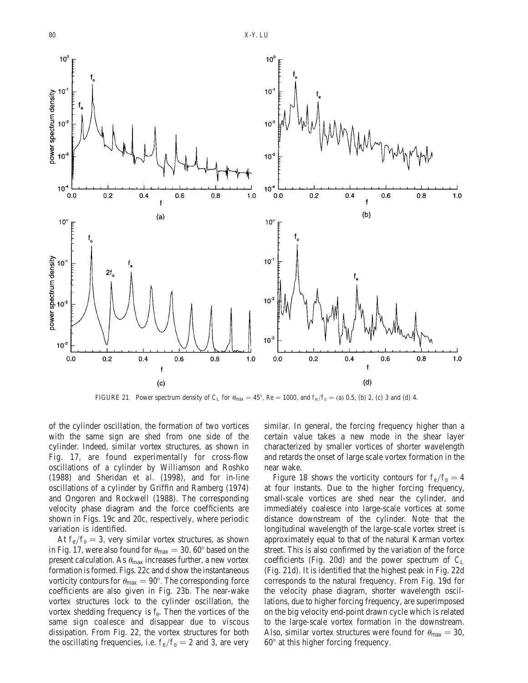![](_page_15_Figure_1.jpeg)

FIGURE 21 Power spectrum density of C<sub>L</sub> for  $\theta_{\text{max}} = 45^{\circ}$ , Re = 1000, and f<sub>e</sub>/f<sub>0</sub> = (a) 0.5, (b) 2, (c) 3 and (d) 4.

of the cylinder oscillation, the formation of two vortices with the same sign are shed from one side of the cylinder. Indeed, similar vortex structures, as shown in Fig. 17, are found experimentally for cross-flow oscillations of a cylinder by Williamson and Roshko (1988) and Sheridan et al. (1998), and for in-line oscillations of a cylinder by Griffin and Ramberg (1974) and Ongoren and Rockwell (1988). The corresponding velocity phase diagram and the force coefficients are shown in Figs. 19c and 20c, respectively, where periodic variation is identified.

At  $f_e/f_o=3$ , very similar vortex structures, as shown in Fig. 17, were also found for  $\theta_{\text{max}} = 30,60^{\circ}$  based on the present calculation. As  $\theta_{\text{max}}$  increases further, a new vortex formation is formed. Figs. 22c and d show the instantaneous vorticity contours for  $\theta_{\text{max}} = 90^{\circ}$ . The corresponding force coefficients are also given in Fig. 23b. The near-wake vortex structures lock to the cylinder oscillation, the vortex shedding frequency is  $f_e$ . Then the vortices of the same sign coalesce and disappear due to viscous dissipation. From Fig. 22, the vortex structures for both the oscillating frequencies, i.e.  $f_e/f_o = 2$  and 3, are very

similar. In general, the forcing frequency higher than a certain value takes a new mode in the shear layer characterized by smaller vortices of shorter wavelength and retards the onset of large scale vortex formation in the near wake.

Figure 18 shows the vorticity contours for  $f_e/f_o = 4$ at four instants. Due to the higher forcing frequency, small-scale vortices are shed near the cylinder, and immediately coalesce into large-scale vortices at some distance downstream of the cylinder. Note that the longitudinal wavelength of the large-scale vortex street is approximately equal to that of the natural Karman vortex street. This is also confirmed by the variation of the force coefficients (Fig. 20d) and the power spectrum of  $C_L$ (Fig. 21d). It is identified that the highest peak in Fig. 22d corresponds to the natural frequency. From Fig. 19d for the velocity phase diagram, shorter wavelength oscillations, due to higher forcing frequency, are superimposed on the big velocity end-point drawn cycle which is related to the large-scale vortex formation in the downstream. Also, similar vortex structures were found for  $\theta_{\text{max}} = 30$ ,  $60^\circ$  at this higher forcing frequency.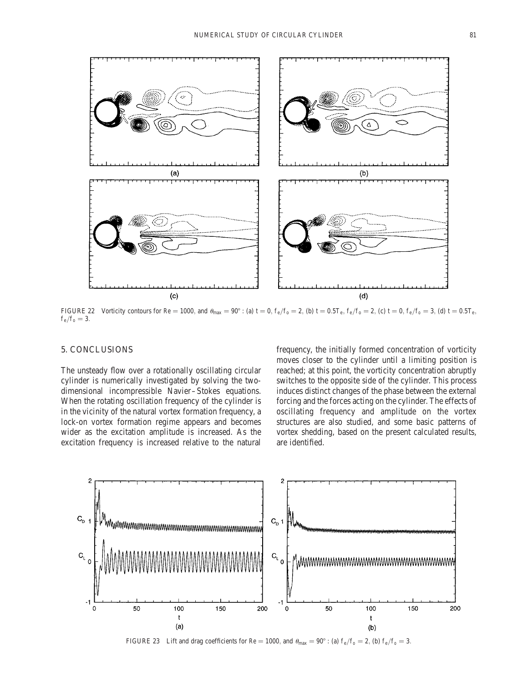![](_page_16_Figure_1.jpeg)

FIGURE 22 Vorticity contours for Re = 1000, and  $\theta_{\text{max}} = 90^\circ$ : (a) t = 0, f<sub>e</sub>/f<sub>0</sub> = 2, (b) t = 0.5T<sub>e</sub>, f<sub>e</sub>/f<sub>0</sub> = 2, (c) t = 0, f<sub>e</sub>/f<sub>0</sub> = 3, (d) t = 0.5T<sub>e</sub>,  $f_e/f_o = 3.$ 

# 5. CONCLUSIONS

The unsteady flow over a rotationally oscillating circular cylinder is numerically investigated by solving the twodimensional incompressible Navier–Stokes equations. When the rotating oscillation frequency of the cylinder is in the vicinity of the natural vortex formation frequency, a lock-on vortex formation regime appears and becomes wider as the excitation amplitude is increased. As the excitation frequency is increased relative to the natural frequency, the initially formed concentration of vorticity moves closer to the cylinder until a limiting position is reached; at this point, the vorticity concentration abruptly switches to the opposite side of the cylinder. This process induces distinct changes of the phase between the external forcing and the forces acting on the cylinder. The effects of oscillating frequency and amplitude on the vortex structures are also studied, and some basic patterns of vortex shedding, based on the present calculated results, are identified.

![](_page_16_Figure_6.jpeg)

FIGURE 23 Lift and drag coefficients for Re = 1000, and  $\theta_{\text{max}} = 90^{\circ}$ : (a)  $f_e/f_o = 2$ , (b)  $f_e/f_o = 3$ .